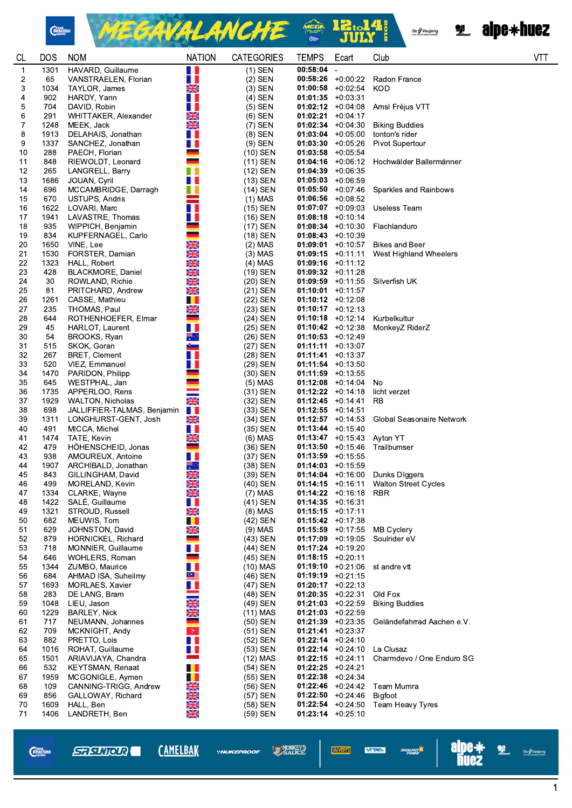

MEGAVALANCHE <sup>22.14</sup>

Oz Vaujany

**2. alpe\*huez** 

| CL          | <b>DOS</b>   | <b>NOM</b>                                      | <b>NATION</b>                          | <b>CATEGORIES</b>       | <b>TEMPS</b>                                | Ecart                                      | Club                                      | VT |
|-------------|--------------|-------------------------------------------------|----------------------------------------|-------------------------|---------------------------------------------|--------------------------------------------|-------------------------------------------|----|
| $\mathbf 1$ | 1301         | HAVARD, Guillaume                               | W                                      | $(1)$ SEN               | $00:58:04 -$                                |                                            |                                           |    |
| 2           | 65           | VANSTRAELEN, Florian                            | H H                                    | $(2)$ SEN               |                                             | $00:58:26$ +0:00:22                        | Radon France                              |    |
| 3           | 1034         | TAYLOR, James                                   | $\frac{N}{2}$                          | $(3)$ SEN               |                                             | $01:00:58$ +0:02:54                        | KOD                                       |    |
| 4<br>5      | 902<br>704   | HARDY, Yann<br>DAVID, Robin                     | W<br>W                                 | $(4)$ SEN<br>$(5)$ SEN  | $01:01:35$ +0:03:31                         | $01:02:12$ +0:04:08                        | Amsl Fréjus VTT                           |    |
| 6           | 291          | WHITTAKER, Alexander                            | XK                                     | $(6)$ SEN               | $01:02:21 +0:04:17$                         |                                            |                                           |    |
| 7           | 1248         | MEEK, Jack                                      | $\frac{N}{N}$                          | $(7)$ SEN               |                                             | $01:02:34$ +0:04:30                        | <b>Biking Buddies</b>                     |    |
| 8           | 1913         | DELAHAIS, Jonathan                              | W                                      | $(8)$ SEN               |                                             | $01:03:04$ +0:05:00                        | tonton's rider                            |    |
| 9           | 1337         | SANCHEZ, Jonathan                               | Ш                                      | $(9)$ SEN               |                                             | $01:03:30 +0:05:26$                        | <b>Pivot Supertour</b>                    |    |
| 10          | 288          | PAECH, Florian                                  |                                        | $(10)$ SEN              | $01:03:58$ +0:05:54                         |                                            |                                           |    |
| 11          | 848          | RIEWOLDT, Leonard                               |                                        | (11) SEN                |                                             | $01:04:16$ +0:06:12                        | Hochwälder Ballermänner                   |    |
| 12          | 265          | LANGRELL, Barry                                 | H L                                    | $(12)$ SEN              | $01:04:39 + 0:06:35$                        |                                            |                                           |    |
| 13          | 1686         | JOUAN, Cyril                                    | H                                      | $(13)$ SEN              | $01:05:03$ +0:06:59                         |                                            |                                           |    |
| 14<br>15    | 696<br>670   | MCCAMBRIDGE, Darragh<br><b>USTUPS, Andris</b>   | M.<br>$\mathcal{L}_{\mathcal{A}}$      | $(14)$ SEN<br>$(1)$ MAS | $01:06:56$ +0:08:52                         | $01:05:50$ +0:07:46                        | Sparkles and Rainbows                     |    |
| 16          | 1622         | LOVARI, Marc                                    | H I                                    | (15) SEN                |                                             | $01:07:07$ +0:09:03                        | Useless Team                              |    |
| 17          | 1941         | LAVASTRE, Thomas                                | Ш                                      | $(16)$ SEN              | $01:08:18$ +0:10:14                         |                                            |                                           |    |
| 18          | 935          | WIPPICH, Benjamin                               |                                        | (17) SEN                |                                             | $01:08:34$ +0:10:30                        | Flachlanduro                              |    |
| 19          | 834          | KUPFERNAGEL, Carlo                              |                                        | $(18)$ SEN              | $01:08:43 +0:10:39$                         |                                            |                                           |    |
| 20          | 1650         | VINE, Lee                                       | <b>NKNK</b>                            | $(2)$ MAS               |                                             | $01:09:01$ +0:10:57                        | <b>Bikes and Beer</b>                     |    |
| 21          | 1530         | FORSTER, Damian                                 |                                        | $(3)$ MAS               |                                             | $01:09:15 +0:11:11$                        | West Highland Wheelers                    |    |
| 22          | 1323         | HALL, Robert                                    |                                        | $(4)$ MAS               |                                             | $01:09:16$ +0:11:12                        |                                           |    |
| 23          | 428          | BLACKMORE, Daniel                               | <b>ENZARANZA</b>                       | (19) SEN                | $01:09:32 +0:11:28$                         |                                            |                                           |    |
| 24          | 30           | ROWLAND, Richie                                 | XŘ                                     | $(20)$ SEN              |                                             | $01:09:59 +0:11:55$                        | Silverfish UK                             |    |
| 25<br>26    | 81<br>1261   | PRITCHARD, Andrew<br>CASSE, Mathieu             |                                        | $(21)$ SEN<br>(22) SEN  | $01:10:01$ +0:11:57<br>$01:10:12 + 0:12:08$ |                                            |                                           |    |
| 27          | 235          | THOMAS, Paul                                    | <b>NK</b>                              | (23) SEN                | $01:10:17 + 0:12:13$                        |                                            |                                           |    |
| 28          | 644          | ROTHENHOEFER, Elmar                             | $\overline{\phantom{0}}$               | (24) SEN                |                                             | $01:10:18$ +0:12:14                        | Kurbelkultur                              |    |
| 29          | 45           | HARLOT, Laurent                                 | H                                      | (25) SEN                |                                             | $01:10:42$ +0:12:38                        | MonkeyZ RiderZ                            |    |
| 30          | 54           | BROOKS, Ryan                                    | *া                                     | (26) SEN                | $01:10:53 +0:12:49$                         |                                            |                                           |    |
| 31          | 515          | SKOK, Goran                                     | $\sim$                                 | (27) SEN                | $01:11:11 + 0:13:07$                        |                                            |                                           |    |
| 32          | 267          | <b>BRET, Clement</b>                            | H T                                    | (28) SEN                | $01:11:41 + 0:13:37$                        |                                            |                                           |    |
| 33          | 520          | VIEZ, Emmanuel                                  | H                                      | (29) SEN                | $01:11:54 + 0:13:50$                        |                                            |                                           |    |
| 34          | 1470         | PARIDON, Philipp                                |                                        | (30) SEN                | $01:11:59 +0:13:55$                         |                                            |                                           |    |
| 35          | 645          | WESTPHAL, Jan                                   |                                        | $(5)$ MAS               |                                             | $01:12:08$ +0:14:04                        | No                                        |    |
| 36<br>37    | 1735<br>1929 | APPERLOO, Rens                                  | XK                                     | $(31)$ SEN<br>(32) SEN  | $01:12:22 +0:14:18$<br>$01:12:45$ +0:14:41  |                                            | licht verzet<br><b>RB</b>                 |    |
| 38          | 698          | WALTON, Nicholas<br>JALLIFFIER-TALMAS, Benjamin | H.                                     | $(33)$ SEN              | $01:12:55 + 0:14:51$                        |                                            |                                           |    |
| 39          | 1311         | LONGHURST-GENT, Josh                            | $\frac{N}{N}$                          | (34) SEN                |                                             | $01:12:57$ +0:14:53                        | Global Seasonaire Network                 |    |
| 40          | 491          | MICCA, Michel                                   | Ш                                      | (35) SEN                | $01:13:44 + 0:15:40$                        |                                            |                                           |    |
| 41          | 1474         | TATE, Kevin                                     | NK<br>AR                               | (6) MAS                 |                                             | $01:13:47$ +0.15:43                        | Ayton YT                                  |    |
| 42          | 479          | HÖHENSCHEID, Jonas                              |                                        | (36) SEN                |                                             | $01:13:50 +0:15:46$                        | Trailbumser                               |    |
| 43          | 938          | AMOUREUX, Antoine                               | W                                      | (37) SEN                | $01:13:59 + 0:15:55$                        |                                            |                                           |    |
| 44          | 1907         | ARCHIBALD, Jonathan                             | ৠ€়<br>NK                              | (38) SEN                | $01:14:03 +0:15:59$                         |                                            |                                           |    |
| 45          | 843          | GILLINGHAM, David                               | $\overline{\mathbb{Z}}$                | (39) SEN                |                                             | $01:14:04$ +0:16:00                        | Dunks Diggers                             |    |
| 46          | 499          | MORELAND, Kevin                                 | NKANA.                                 | (40) SEN                |                                             | $01:14:15 + 0:16:11$                       | <b>Walton Street Cycles</b>               |    |
| 47<br>48    | 1334<br>1422 | CLARKE, Wayne<br>SALÉ, Guillaume                | W                                      | $(7)$ MAS<br>(41) SEN   | $01:14:35 + 0:16:31$                        | $01:14:22 +0:16:18$                        | <b>RBR</b>                                |    |
| 49          | 1321         | STROUD, Russell                                 | X                                      | $(8)$ MAS               | $01:15:15 + 0:17:11$                        |                                            |                                           |    |
| 50          | 682          | MEUWIS, Tom                                     |                                        | (42) SEN                | $01:15:42 +0:17:38$                         |                                            |                                           |    |
| 51          | 629          | JOHNSTON, David                                 | <b>NK</b>                              | $(9)$ MAS               |                                             | $01:15:59 +0:17:55$                        | <b>MB Cyclery</b>                         |    |
| 52          | 879          | HORNICKEL, Richard                              |                                        | (43) SEN                |                                             | $01:17:09$ +0:19:05                        | Soulrider eV                              |    |
| 53          | 718          | MONNIER, Guillaume                              | H.                                     | (44) SEN                | $01:17:24 +0:19:20$                         |                                            |                                           |    |
| 54          | 646          | WOHLERS, Roman                                  |                                        | $(45)$ SEN              | $01:18:15 + 0:20:11$                        |                                            |                                           |    |
| 55          | 1344         | ZUMBO, Maurice                                  | Ш                                      | (10) MAS                |                                             | $01:19:10 + 0.21:06$                       | st andre vtt                              |    |
| 56          | 684          | AHMAD ISA, Suheilmy                             | $\stackrel{\textstyle\mathsf{C}}{=}\,$ | (46) SEN                | $01:19:19 + 0:21:15$                        |                                            |                                           |    |
| 57<br>58    | 1693<br>283  | MORLAES, Xavier<br>DE LANG, Bram                | H                                      | (47) SEN                | $01:20:17$ +0:22:13                         | $01:20:35$ +0:22:31                        | Old Fox                                   |    |
| 59          | 1048         | LIEU, Jason                                     |                                        | (48) SEN<br>(49) SEN    |                                             | $01:21:03$ +0:22:59                        | <b>Biking Buddies</b>                     |    |
| 60          | 1229         | BARLEY, Nick                                    | XX                                     | (11) MAS                | $01:21:03$ +0:22:59                         |                                            |                                           |    |
| 61          | 717          | NEUMANN, Johannes                               |                                        | $(50)$ SEN              |                                             | $01:21:39 + 0:23:35$                       | Geländefahrrad Aachen e.V.                |    |
| 62          | 709          | MCKNIGHT, Andy                                  | $\mathcal{F}$                          | $(51)$ SEN              | $01:21:41 + 0:23:37$                        |                                            |                                           |    |
| 63          | 882          | PRETTO, Lois                                    | H                                      | (52) SEN                |                                             | $01:22:14$ +0:24:10                        |                                           |    |
| 64          | 1016         | ROHAT, Guillaume                                | Ш                                      | (53) SEN                |                                             | $01:22:14$ +0:24:10                        | La Clusaz                                 |    |
| 65          | 1501         | ARIAVIJAYA, Chandra                             | <b>Contract</b>                        | (12) MAS                |                                             | $01:22:15$ +0:24:11                        | Charmdevo / One Enduro SG                 |    |
| 66          | 532          | <b>KEYTSMAN, Renaat</b>                         | Ш                                      | (54) SEN                | $01:22:25$ +0:24:21                         |                                            |                                           |    |
| 67          | 1959         | MCGONIGLE, Aymen                                | <b>TI</b>                              | (55) SEN                | $01:22:38$ +0:24:34                         |                                            |                                           |    |
| 68<br>69    | 109<br>856   | CANNING-TRIGG, Andrew                           |                                        | (56) SEN<br>(57) SEN    |                                             | 01:22:46 $+0:24:42$<br>$01:22:50$ +0:24:46 | Team Mumra                                |    |
| 70          | 1609         | GALLOWAY, Richard<br>HALL, Ben                  | <u>NZNZNZNZ</u>                        | (58) SEN                | $01:22:54$ +0:24:50                         |                                            | <b>Bigfoot</b><br><b>Team Heavy Tyres</b> |    |
| 71          | 1406         | LANDRETH, Ben                                   |                                        | (59) SEN                | $01:23:14$ +0:25:10                         |                                            |                                           |    |
|             |              |                                                 |                                        |                         |                                             |                                            |                                           |    |

*Chain*<br>*Reaction* 

**\*NUKEPROOF** 

**SAUCE VEOVERT**  angung <sup>n</sup>a



 $\overline{\mathbf{1}}$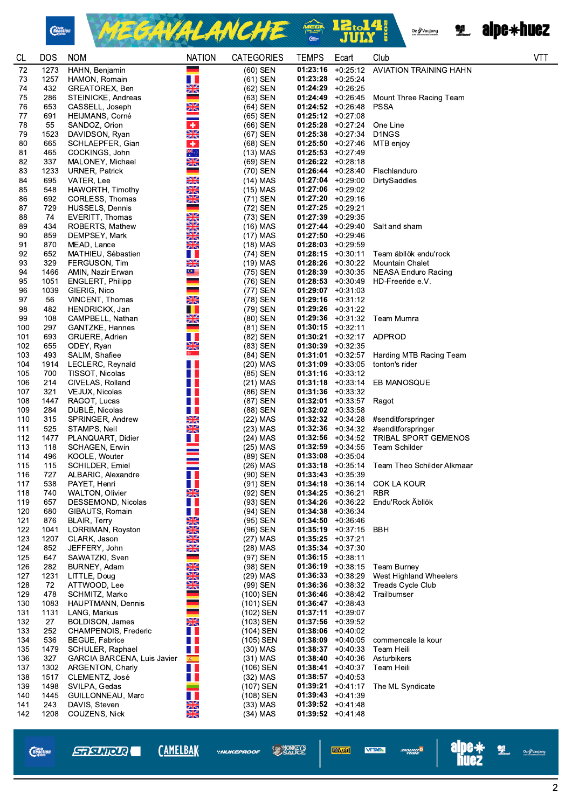

MEGAVALANCHE & BI.14



| <b>CL</b>  | <b>DOS</b>   | <b>NOM</b>                                | <b>NATION</b>               | <b>CATEGORIES</b>       | <b>TEMPS</b>                                | Ecart                | Club                                               | <b>VTT</b> |
|------------|--------------|-------------------------------------------|-----------------------------|-------------------------|---------------------------------------------|----------------------|----------------------------------------------------|------------|
| 72         | 1273         | HAHN, Benjamin                            |                             | $(60)$ SEN              | $01:23:16$ +0:25:12                         |                      | <b>AVIATION TRAINING HAHN</b>                      |            |
| 73         | 1257         | HAMON, Romain                             | H I                         | (61) SEN                | $01:23:28$ +0:25:24                         |                      |                                                    |            |
| 74         | 432          | GREATOREX, Ben                            | XK<br>$\mathcal{L}$         | (62) SEN                | $01:24:29$ +0:26:25                         |                      |                                                    |            |
| 75<br>76   | 286<br>653   | STEINICKE, Andreas                        |                             | (63) SEN<br>(64) SEN    | $01:24:52 + 0:26:48$                        | $01:24:49 + 0:26:45$ | Mount Three Racing Team                            |            |
| 77         | 691          | CASSELL, Joseph<br>HEIJMANS, Corné        | <u>NK</u>                   | (65) SEN                | $01:25:12 +0:27:08$                         |                      | <b>PSSA</b>                                        |            |
| 78         | 55           | SANDOZ, Orion                             | $\ddot{\bullet}$            | (66) SEN                | $01:25:28$ +0:27:24                         |                      | One Line                                           |            |
| 79         | 1523         | DAVIDSON, Ryan                            | <b>SK</b>                   | (67) SEN                | $01:25:38$ +0:27:34                         |                      | D <sub>1</sub> NGS                                 |            |
| 80         | 665          | SCHLAEPFER, Gian                          | $\bullet$                   | (68) SEN                | $01:25:50$ +0:27:46                         |                      | MTB enjoy                                          |            |
| 81         | 465          | COCKINGS, John                            | ∜ै                          | $(13)$ MAS              | $01:25:53 + 0:27:49$                        |                      |                                                    |            |
| 82         | 337          | MALONEY, Michael                          | XK                          | (69) SEN                | $01:26:22 +0:28:18$                         |                      |                                                    |            |
| 83         | 1233         | URNER, Patrick                            |                             | (70) SEN                | $01:26.44 + 0:28:40$                        |                      | Flachlanduro                                       |            |
| 84         | 695          | VATER, Lee                                | <b>NEVER</b>                | (14) MAS                | $01:27:04$ +0:29:00                         |                      | DirtySaddles                                       |            |
| 85         | 548          | HAWORTH, Timothy                          |                             | (15) MAS                | $01:27:06$ +0:29:02                         |                      |                                                    |            |
| 86<br>87   | 692<br>729   | CORLESS, Thomas<br>HUSSELS, Dennis        | $\frac{N}{2}$               | (71) SEN<br>(72) SEN    | $01:27:20$ +0:29:16<br>$01:27:25$ +0:29:21  |                      |                                                    |            |
| 88         | 74           | EVERITT, Thomas                           | $\frac{\text{N}}{\text{N}}$ | (73) SEN                | $01:27:39 + 0:29:35$                        |                      |                                                    |            |
| 89         | 434          | ROBERTS, Mathew                           | $\frac{1}{2}$               | (16) MAS                |                                             | $01:27:44$ +0:29:40  | Salt and sham                                      |            |
| 90         | 859          | DEMPSEY, Mark                             | XK                          | (17) MAS                | $01:27:50$ +0:29:46                         |                      |                                                    |            |
| 91         | 870          | MEAD, Lance                               | $\frac{N}{2}$               | (18) MAS                | $01:28:03 + 0:29:59$                        |                      |                                                    |            |
| 92         | 652          | MATHIEU, Sébastien                        | H.                          | (74) SEN                | $01:28:15 + 0:30:11$                        |                      | Team äbllök endu'rock                              |            |
| 93         | 329          | FERGUSON, Tim                             | $\frac{N}{2}$               | (19) MAS                | $01:28:26$ +0:30:22                         |                      | <b>Mountain Chalet</b>                             |            |
| 94         | 1466         | AMIN, Nazir Erwan                         | $C \equiv$                  | (75) SEN                | $01:28:39 +0:30:35$                         |                      | NEASA Enduro Racing                                |            |
| 95         | 1051         | <b>ENGLERT, Philipp</b>                   | $\equiv$<br>۰               | (76) SEN                |                                             | $01:28:53 + 0:30:49$ | HD-Freeride e.V.                                   |            |
| 96         | 1039         | GIERIG, Nico                              | XK                          | (77) SEN                | $01:29:07$ +0:31:03                         |                      |                                                    |            |
| 97<br>98   | 56<br>482    | VINCENT, Thomas<br>HENDRICKX, Jan         | T.                          | (78) SEN<br>(79) SEN    | $01:29:16$ +0:31:12<br>$01:29:26$ +0:31:22  |                      |                                                    |            |
| 99         | 108          | CAMPBELL, Nathan                          | NK<br>ZIR                   | (80) SEN                |                                             | $01:29:36$ +0:31:32  | Team Mumra                                         |            |
| 100        | 297          | GANTZKE, Hannes                           | $\equiv$                    | (81) SEN                | $01:30:15 + 0:32:11$                        |                      |                                                    |            |
| 101        | 693          | GRUERE, Adrien                            | n e                         | (82) SEN                |                                             | $01:30:21 +0:32:17$  | ADPROD                                             |            |
| 102        | 655          | ODEY, Ryan                                | X                           | (83) SEN                | $01:30:39 + 0:32:35$                        |                      |                                                    |            |
| 103        | 493          | SALIM, Shafiee                            | $\mathbb{G}$ .              | (84) SEN                |                                             | $01:31:01$ +0:32:57  | Harding MTB Racing Team                            |            |
| 104        | 1914         | LECLERC, Reynald                          | . .                         | $(20)$ MAS              | $01:31:09$ +0:33:05                         |                      | tonton's rider                                     |            |
| 105        | 700          | TISSOT, Nicolas                           | N T                         | (85) SEN                | $01:31:16$ +0:33:12                         |                      |                                                    |            |
| 106        | 214          | CIVELAS, Rolland                          | n n                         | $(21)$ MAS              |                                             | $01:31:18$ +0:33:14  | EB MANOSQUE                                        |            |
| 107<br>108 | 321<br>1447  | VEJUX, Nicolas<br>RAGOT, Lucas            | . .<br>H I                  | (86) SEN<br>(87) SEN    | $01:31:36$ +0:33:32                         | $01:32:01$ +0:33:57  |                                                    |            |
| 109        | 284          | DUBLÉ, Nicolas                            | H.                          | (88) SEN                | $01:32:02$ +0:33:58                         |                      | Ragot                                              |            |
| 110        | 315          | SPRINGER, Andrew                          | <b>XK</b>                   | (22) MAS                | $01:32:32 + 0:34:28$                        |                      | #senditforspringer                                 |            |
| 111        | 525          | STAMPS, Neil                              | $\frac{N}{2}$               | (23) MAS                | $01:32:36$ +0:34:32                         |                      | #senditforspringer                                 |            |
| 112        | 1477         | PLANQUART, Didier                         | H.                          | (24) MAS                | $01:32:56$ +0:34:52                         |                      | <b>TRIBAL SPORT GEMENOS</b>                        |            |
| 113        | 118          | SCHAGEN, Erwin                            |                             | $(25)$ MAS              | $01:32:59 +0:34:55$                         |                      | <b>Team Schilder</b>                               |            |
| 114        | 496          | KOOLE, Wouter                             |                             | (89) SEN                | $01:33:08$ +0:35:04                         |                      |                                                    |            |
| 115        | 115          | <b>SCHILDER, Emiel</b>                    |                             | (26) MAS                | $01:33:18$ +0:35:14                         |                      | Team Theo Schilder Alkmaar                         |            |
| 116        | 727          | ALBARIC, Alexandre                        | H.                          | (90) SEN                |                                             | $01:33:43 + 0:35:39$ |                                                    |            |
| 117<br>118 | 538<br>740   | PAYET, Henri<br><b>WALTON, Olivier</b>    | ш<br>$\frac{N}{2}$          | (91) SEN<br>(92) SEN    | $01:34:18$ +0:36:14<br>$01:34:25 +0:36:21$  |                      | COK LA KOUR<br><b>RBR</b>                          |            |
| 119        | 657          | DESSEMOND, Nicolas                        | H.                          | (93) SEN                | $01:34:26$ +0:36:22                         |                      | Endu'Rock Äbllök                                   |            |
| 120        | 680          | GIBAUTS, Romain                           | n n                         | (94) SEN                | 01:34:38                                    | +0:36:34             |                                                    |            |
| 121        | 876          | BLAIR, Terry                              | 巖                           | (95) SEN                | $01:34:50 + 0:36:46$                        |                      |                                                    |            |
| 122        | 1041         | LORRIMAN, Royston                         | $\frac{N}{2}$               | (96) SEN                |                                             | $01:35:19 + 0:37:15$ | BBH                                                |            |
| 123        | 1207         | CLARK, Jason                              | <b>NK</b>                   | (27) MAS                | $01:35:25 +0:37:21$                         |                      |                                                    |            |
| 124        | 852          | JEFFERY, John                             | NK<br>AR                    | $(28)$ MAS              | $01:35:34 +0:37:30$                         |                      |                                                    |            |
| 125        | 647          | SAWATZKI, Sven                            |                             | (97) SEN                | $01:36:15 + 0:38:11$                        |                      |                                                    |            |
| 126        | 282          | BURNEY, Adam                              | <b>NEVER</b>                | (98) SEN                | $01:36:19 + 0:38:15$                        |                      | <b>Team Burney</b>                                 |            |
| 127<br>128 | 1231<br>72   | LITTLE, Doug<br>ATTWOOD, Lee              | $\frac{N}{2}$               | (29) MAS<br>(99) SEN    | $01:36:33 + 0:38:29$<br>$01:36:36$ +0:38:32 |                      | West Highland Wheelers<br><b>Treads Cycle Club</b> |            |
| 129        | 478          | SCHMITZ, Marko                            |                             | (100) SEN               |                                             | $01:36:46$ +0:38:42  | Trailbumser                                        |            |
| 130        | 1083         | <b>HAUPTMANN, Dennis</b>                  |                             | (101) SEN               | $01:36:47 + 0:38:43$                        |                      |                                                    |            |
| 131        | 1131         | LANG, Markus                              | -                           | (102) SEN               | $01:37:11 + 0:39:07$                        |                      |                                                    |            |
| 132        | 27           | <b>BOLDISON, James</b>                    | NK<br>ZK                    | (103) SEN               | $01:37:56$ +0:39:52                         |                      |                                                    |            |
| 133        | 252          | CHAMPENOIS, Frederic                      | H I                         | (104) SEN               | $01:38:06$ +0:40:02                         |                      |                                                    |            |
| 134        | 536          | <b>BEGUE, Fabrice</b>                     | H.                          | (105) SEN               |                                             | $01:38:09 +0:40:05$  | commencale la kour                                 |            |
| 135        | 1479         | SCHULER, Raphael                          | H.                          | $(30)$ MAS              | $01:38:37 + 0:40:33$                        |                      | Team Heili                                         |            |
| 136        | 327          | <b>GARCIA BARCENA, Luis Javier</b>        | 编                           | $(31)$ MAS              | $01:38:40 + 0:40:36$                        |                      | Asturbikers                                        |            |
| 137<br>138 | 1302<br>1517 | <b>ARGENTON, Charly</b><br>CLEMENTZ, José | H.<br>N H                   | (106) SEN<br>$(32)$ MAS | $01:38:41 + 0:40:37$<br>$01:38:57 +0:40:53$ |                      | Team Heili                                         |            |
| 139        | 1498         | SVILPA, Gedas                             |                             | (107) SEN               |                                             | $01:39:21 +0:41:17$  | The ML Syndicate                                   |            |
| 140        | 1445         | GUILLONNEAU, Marc                         | Ш                           | (108) SEN               | $01:39:43 +0:41:39$                         |                      |                                                    |            |
| 141        | 243          | DAVIS, Steven                             |                             | $(33)$ MAS              | $01:39:52 +0:41:48$                         |                      |                                                    |            |
| 142        | 1208         | COUZENS, Nick                             | <b>NKAK</b>                 | $(34)$ MAS              | $01:39:52 +0:41:48$                         |                      |                                                    |            |

**\*NUKEPROOF** 

**SAUCE VEOVERT!** 



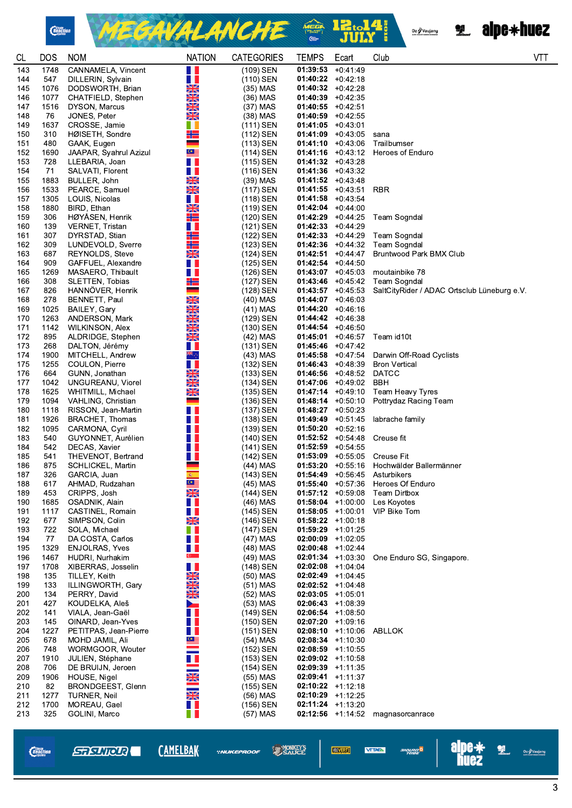

MEGAVALANCHE & BI.14

Oz / Vaujany<br>Antonius cano comare

**2. alpe\*huez** 

| <b>CL</b>  | <b>DOS</b>  | <b>NOM</b>                                 | <b>NATION</b>  | <b>CATEGORIES</b>      | <b>TEMPS</b>                               | Ecart                                       | Club                                              | VT1 |
|------------|-------------|--------------------------------------------|----------------|------------------------|--------------------------------------------|---------------------------------------------|---------------------------------------------------|-----|
| 143        | 1748        | CANNAMELA, Vincent                         | H I            | (109) SEN              | $01:39:53 + 0:41:49$                       |                                             |                                                   |     |
| 144        | 547         | DILLERIN, Sylvain                          | <b>RANK</b>    | (110) SEN              | $01:40:22 +0:42:18$                        |                                             |                                                   |     |
| 145        | 1076        | DODSWORTH, Brian                           |                | (35) MAS               | $01:40:32 +0:42:28$                        |                                             |                                                   |     |
| 146        | 1077        | CHATFIELD, Stephen                         |                | (36) MAS               | $01:40:39$ +0:42:35                        |                                             |                                                   |     |
| 147        | 1516        | DYSON, Marcus                              | XK             | (37) MAS               | $01:40:55$ +0:42:51                        |                                             |                                                   |     |
| 148        | 76          | JONES, Peter                               | $\frac{N}{2}$  | $(38)$ MAS             | $01:40:59$ +0:42:55                        |                                             |                                                   |     |
| 149        | 1637        | CROSSE, Jamie                              | H.             | (111) SEN              | $01:41:05$ +0:43:01                        |                                             |                                                   |     |
| 150        | 310         | HØISETH, Sondre                            | 212<br>a a     | (112) SEN              |                                            | $01:41:09$ +0:43:05                         | sana                                              |     |
| 151<br>152 | 480<br>1690 | GAAK, Eugen                                | $C \equiv$     | (113) SEN<br>(114) SEN |                                            | $01:41:10 + 0:43:06$<br>$01:41:16$ +0:43:12 | Trailbumser<br><b>Heroes of Enduro</b>            |     |
| 153        | 728         | JAAPAR, Syahrul Azizul<br>LLEBARIA, Joan   | H.             | (115) SEN              | $01:41:32 + 0.43:28$                       |                                             |                                                   |     |
| 154        | 71          | SALVATI, Florent                           | H I            | (116) SEN              | $01:41:36$ +0:43:32                        |                                             |                                                   |     |
| 155        | 1883        | BULLER, John                               | NZ<br>ZK       | $(39)$ MAS             | $01:41:52 + 0:43:48$                       |                                             |                                                   |     |
| 156        | 1533        | PEARCE, Samuel                             | $\frac{N}{2N}$ | (117) SEN              |                                            | $01:41:55$ +0:43:51                         | RBR                                               |     |
| 157        | 1305        | LOUIS, Nicolas                             | . .            | (118) SEN              | $01:41:58$ +0:43:54                        |                                             |                                                   |     |
| 158        | 1880        | BIRD, Ethan                                | XX             | (119) SEN              | $01:42:04$ +0:44:00                        |                                             |                                                   |     |
| 159        | 306         | HØYASEN, Henrik                            |                | (120) SEN              |                                            | $01:42:29 +0:44:25$                         | Team Sogndal                                      |     |
| 160        | 139         | VERNET, Tristan                            | w              | (121) SEN              | $01:42:33 + 0:44:29$                       |                                             |                                                   |     |
| 161        | 307         | DYRSTAD, Stian                             | ╬═             | (122) SEN              |                                            | $01:42:33 + 0:44:29$                        | Team Sogndal                                      |     |
| 162        | 309         | LUNDEVOLD, Sverre                          | 212            | (123) SEN              | $01:42:36$ +0:44:32                        |                                             | <b>Team Sogndal</b>                               |     |
| 163        | 687         | <b>REYNOLDS, Steve</b>                     | XK             | (124) SEN              |                                            | $01:42:51 + 0:44:47$                        | Bruntwood Park BMX Club                           |     |
| 164        | 909         | GAFFUEL, Alexandre                         | w              | (125) SEN              | $01:42:54$ +0:44:50                        |                                             |                                                   |     |
| 165        | 1269        | MASAERO, Thibault                          | H.             | (126) SEN              | $01:43:07$ +0:45:03                        |                                             | moutainbike 78                                    |     |
| 166        | 308         | SLETTEN, Tobias                            | 22             | (127) SEN              |                                            | $01:43:46$ +0:45:42                         | Team Sogndal                                      |     |
| 167        | 826         | HANNÖVER, Henrik                           |                | (128) SEN              | $01:43:57$ +0:45:53                        |                                             | SaltCityRider / ADAC Ortsclub Lüneburg e.V.       |     |
| 168        | 278         | BENNETT, Paul                              | <b>NEVER</b>   | (40) MAS               | $01:44:07$ +0:46:03                        |                                             |                                                   |     |
| 169        | 1025        | BAILEY, Gary                               |                | (41) MAS               | $01:44:20 + 0:46:16$                       |                                             |                                                   |     |
| 170        | 1263        | ANDERSON, Mark                             | XK             | (129) SEN              | $01:44.42 + 0:46:38$                       |                                             |                                                   |     |
| 171        | 1142        | WILKINSON, Alex                            | XK<br>XK       | (130) SEN              | $01:44:54 + 0:46:50$                       | $01:45:01$ +0:46:57                         |                                                   |     |
| 172<br>173 | 895<br>268  | ALDRIDGE, Stephen<br>DALTON, Jérémy        | H.             | (42) MAS<br>(131) SEN  | $01:45:46$ +0:47:42                        |                                             | Team id10t                                        |     |
| 174        | 1900        | MITCHELL, Andrew                           | ≋≋्⊹           | (43) MAS               |                                            | $01:45:58$ +0:47:54                         | Darwin Off-Road Cyclists                          |     |
| 175        | 1255        | COULON, Pierre                             | H              | (132) SEN              |                                            | $01:46:43 + 0:48:39$                        | <b>Bron Vertical</b>                              |     |
| 176        | 664         | GUNN, Jonathan                             | XK             | (133) SEN              |                                            | $01:46:56$ +0:48:52                         | <b>DATCC</b>                                      |     |
| 177        | 1042        | UNGUREANU, Viorel                          | NK<br>AR       | (134) SEN              | $01:47:06$ +0:49:02                        |                                             | BBH                                               |     |
| 178        | 1625        | WHITMILL, Michael                          | $\frac{N}{N}$  | (135) SEN              |                                            | $01:47:14$ +0:49:10                         | <b>Team Heavy Tyres</b>                           |     |
| 179        | 1094        | VAHLING, Christian                         | an an          | (136) SEN              | $01:48:14 + 0:50:10$                       |                                             | Pottrydaz Racing Team                             |     |
| 180        | 1118        | RISSON, Jean-Martin                        | Ш              | (137) SEN              | $01:48:27$ +0:50:23                        |                                             |                                                   |     |
| 181        | 1926        | BRACHET, Thomas                            | H              | (138) SEN              | $01:49:49$ +0:51:45                        |                                             | labrache family                                   |     |
| 182        | 1095        | CARMONA, Cyril                             | H.             | (139) SEN              | $01:50:20 + 0:52:16$                       |                                             |                                                   |     |
| 183        | 540         | GUYONNET, Aurélien                         | H              | (140) SEN              | $01:52:52 + 0:54:48$                       |                                             | Creuse fit                                        |     |
| 184        | 542         | DECAS, Xavier                              | H              | (141) SEN              | $01:52:59$ +0:54:55                        |                                             |                                                   |     |
| 185        | 541         | THEVENOT, Bertrand                         | w              | (142) SEN              |                                            | $01:53:09$ +0:55:05                         | <b>Creuse Fit</b>                                 |     |
| 186        | 875         | SCHLICKEL, Martin                          | 蘇              | (44) MAS               |                                            | $01:53:20 +0:55:16$                         | Hochwälder Ballermänner                           |     |
| 187<br>188 | 326<br>617  | GARCIA, Juan<br>AHMAD, Rudzahan            | $C \equiv$     | (143) SEN<br>(45) MAS  |                                            | $01:55:40$ +0:57:36                         | 01:54:49 +0:56:45 Asturbikers<br>Heroes Of Enduro |     |
| 189        | 453         | CRIPPS, Josh                               | XK             | (144) SEN              | $01:57:12 +0:59:08$                        |                                             | Team Dirtbox                                      |     |
| 190        | 1685        | OSADNIK, Alain                             | W              | (46) MAS               |                                            | $01:58:04$ +1:00:00                         | Les Koyotes                                       |     |
| 191        | 1117        | CASTINEL, Romain                           | H.             | (145) SEN              |                                            | $01:58:05$ +1:00:01                         | VIP Bike Tom                                      |     |
| 192        | 677         | SIMPSON, Colin                             | NK<br>An       | (146) SEN              | $01:58:22 + 1:00:18$                       |                                             |                                                   |     |
| 193        | 722         | SOLA, Michael                              | W              | (147) SEN              | $01:59:29$ +1:01:25                        |                                             |                                                   |     |
| 194        | 77          | DA COSTA, Carlos                           | H.             | (47) MAS               | $02:00:09$ +1:02:05                        |                                             |                                                   |     |
| 195        | 1329        | <b>ENJOLRAS, Yves</b>                      | W              | (48) MAS               | $02:00:48$ +1:02:44                        |                                             |                                                   |     |
| 196        | 1467        | HUDRI, Nurhakim                            | $C =$          | (49) MAS               |                                            | $02:01:34$ +1:03:30                         | One Enduro SG, Singapore.                         |     |
| 197        | 1708        | XIBERRAS, Josselin                         | Ш              | (148) SEN              | $02:02:08$ +1:04:04                        |                                             |                                                   |     |
| 198        | 135         | TILLEY, Keith                              | XK             | (50) MAS               | $02:02:49$ +1:04:45                        |                                             |                                                   |     |
| 199        | 133         | ILLINGWORTH, Gary                          | XK             | $(51)$ MAS             | $02:02:52$ +1:04:48                        |                                             |                                                   |     |
| 200        | 134         | PERRY, David                               | NK<br>AR       | (52) MAS               | $02:03:05$ +1:05:01                        |                                             |                                                   |     |
| 201        | 427         | KOUDELKA, Aleš                             |                | (53) MAS               | $02:06:43$ +1:08:39                        |                                             |                                                   |     |
| 202        | 141         | VIALA, Jean-Gaël                           | H.             | (149) SEN              | $02:06:54$ +1:08:50                        |                                             |                                                   |     |
| 203<br>204 | 145<br>1227 | OINARD, Jean-Yves<br>PETITPAS, Jean-Pierre | W<br>H I       | (150) SEN<br>(151) SEN | $02:07:20$ +1:09:16<br>$02:08:10 +1:10:06$ |                                             | ABLLOK                                            |     |
| 205        | 678         | MOHD JAMIL, Ali                            | ≌              | (54) MAS               | $02:08:34$ +1:10:30                        |                                             |                                                   |     |
| 206        | 748         | WORMGOOR, Wouter                           |                | (152) SEN              | $02:08:59$ +1:10:55                        |                                             |                                                   |     |
| 207        | 1910        | <b>JULIEN, Stéphane</b>                    | U              | (153) SEN              | $02:09:02$ +1:10:58                        |                                             |                                                   |     |
| 208        | 706         | DE BRUIJN, Jeroen                          |                | (154) SEN              | $02:09:39 +1:11:35$                        |                                             |                                                   |     |
| 209        | 1906        | HOUSE, Nigel                               | <b>KARA</b>    | (55) MAS               | $02:09:41 +1:11:37$                        |                                             |                                                   |     |
| 210        | 82          | BRONDGEEST, Glenn                          |                | (155) SEN              | $02:10:22$ +1:12:18                        |                                             |                                                   |     |
| 211        | 1277        | TURNER, Neil                               | <b>NK</b>      | (56) MAS               | $02:10:29$ +1:12:25                        |                                             |                                                   |     |
| 212        | 1700        | MOREAU, Gael                               | O I.           | (156) SEN              | $02:11:24$ +1:13:20                        |                                             |                                                   |     |
| 213        | 325         | GOLINI, Marco                              | H.             | (57) MAS               |                                            | $02:12:56$ +1:14:52                         | magnasorcanrace                                   |     |
|            |             |                                            |                |                        |                                            |                                             |                                                   |     |